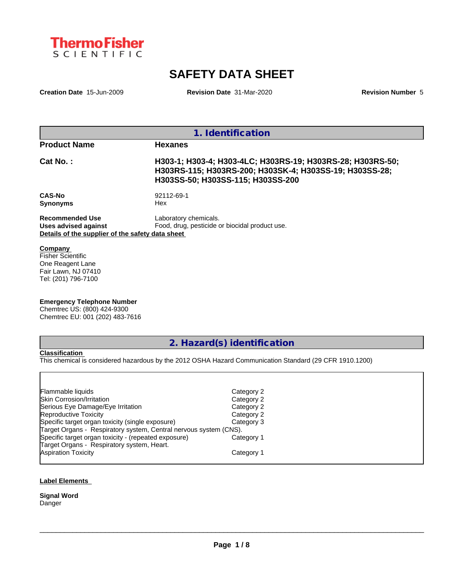

# **SAFETY DATA SHEET**

**Creation Date** 15-Jun-2009 **Revision Date** 31-Mar-2020 **Revision Number** 5

| 1. Identification                                                                                  |                                                                                                                                                            |  |  |
|----------------------------------------------------------------------------------------------------|------------------------------------------------------------------------------------------------------------------------------------------------------------|--|--|
| <b>Product Name</b>                                                                                | <b>Hexanes</b>                                                                                                                                             |  |  |
| Cat No.:                                                                                           | H303-1; H303-4; H303-4LC; H303RS-19; H303RS-28; H303RS-50;<br>H303RS-115; H303RS-200; H303SK-4; H303SS-19; H303SS-28;<br>H303SS-50; H303SS-115; H303SS-200 |  |  |
| <b>CAS-No</b><br><b>Synonyms</b>                                                                   | 92112-69-1<br>Hex                                                                                                                                          |  |  |
| <b>Recommended Use</b><br>Uses advised against<br>Details of the supplier of the safety data sheet | Laboratory chemicals.<br>Food, drug, pesticide or biocidal product use.                                                                                    |  |  |
| Company<br>Eicher Coicptific                                                                       |                                                                                                                                                            |  |  |

Fisher Scientific One Reagent Lane Fair Lawn, NJ 07410 Tel: (201) 796-7100

## **Emergency Telephone Number**

Chemtrec US: (800) 424-9300 Chemtrec EU: 001 (202) 483-7616

## **2. Hazard(s) identification**

## **Classification**

This chemical is considered hazardous by the 2012 OSHA Hazard Communication Standard (29 CFR 1910.1200)

| Flammable liquids                                                 | Category 2 |
|-------------------------------------------------------------------|------------|
| <b>Skin Corrosion/Irritation</b>                                  | Category 2 |
| Serious Eye Damage/Eye Irritation                                 | Category 2 |
| Reproductive Toxicity                                             | Category 2 |
| Specific target organ toxicity (single exposure)                  | Category 3 |
| Target Organs - Respiratory system, Central nervous system (CNS). |            |
| Specific target organ toxicity - (repeated exposure)              | Category 1 |
| Target Organs - Respiratory system, Heart.                        |            |
| <b>Aspiration Toxicity</b>                                        | Category 1 |
|                                                                   |            |

## **Label Elements**

**Signal Word** Danger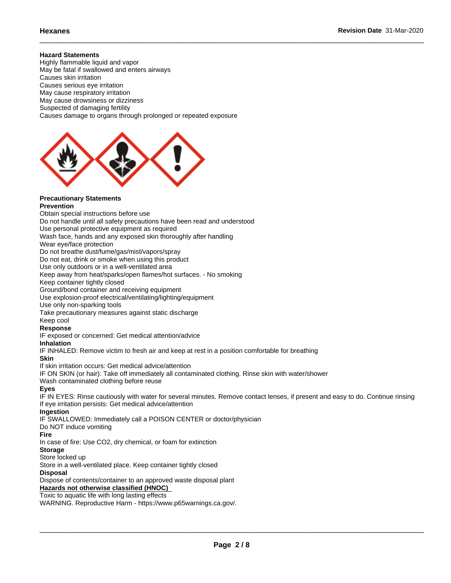## **Hazard Statements**

Highly flammable liquid and vapor May be fatal if swallowed and enters airways Causes skin irritation Causes serious eye irritation May cause respiratory irritation May cause drowsiness or dizziness Suspected of damaging fertility Causes damage to organs through prolonged or repeated exposure



## **Precautionary Statements**

## **Prevention**

Obtain special instructions before use Do not handle until all safety precautions have been read and understood Use personal protective equipment as required Wash face, hands and any exposed skin thoroughly after handling Wear eye/face protection Do not breathe dust/fume/gas/mist/vapors/spray Do not eat, drink or smoke when using this product Use only outdoors or in a well-ventilated area Keep away from heat/sparks/open flames/hot surfaces. - No smoking Keep container tightly closed Ground/bond container and receiving equipment Use explosion-proof electrical/ventilating/lighting/equipment Use only non-sparking tools Take precautionary measures against static discharge Keep cool **Response** IF exposed or concerned: Get medical attention/advice **Inhalation** IF INHALED: Remove victim to fresh air and keep at rest in a position comfortable for breathing **Skin** If skin irritation occurs: Get medical advice/attention IF ON SKIN (or hair): Take off immediately all contaminated clothing. Rinse skin with water/shower Wash contaminated clothing before reuse **Eyes** IF IN EYES: Rinse cautiously with water for several minutes. Remove contact lenses, if present and easy to do. Continue rinsing If eye irritation persists: Get medical advice/attention **Ingestion** IF SWALLOWED: Immediately call a POISON CENTER or doctor/physician Do NOT induce vomiting **Fire** In case of fire: Use CO2, dry chemical, or foam for extinction **Storage** Store locked up Store in a well-ventilated place. Keep container tightly closed **Disposal**

Dispose of contents/container to an approved waste disposal plant

## **Hazards not otherwise classified (HNOC)**

Toxic to aquatic life with long lasting effects

WARNING. Reproductive Harm - https://www.p65warnings.ca.gov/.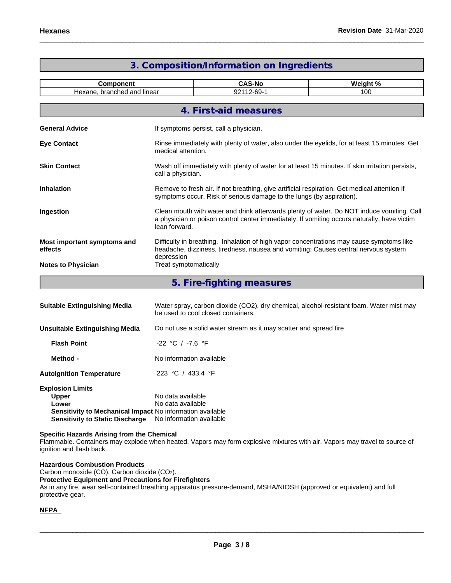| <b>Component</b><br>Hexane, branched and linear |                                                                                                                                                                                              | <b>CAS-No</b>                                                                                                                                                                            | Weight % |  |  |  |
|-------------------------------------------------|----------------------------------------------------------------------------------------------------------------------------------------------------------------------------------------------|------------------------------------------------------------------------------------------------------------------------------------------------------------------------------------------|----------|--|--|--|
|                                                 |                                                                                                                                                                                              | 92112-69-1                                                                                                                                                                               | 100      |  |  |  |
|                                                 |                                                                                                                                                                                              | 4. First-aid measures                                                                                                                                                                    |          |  |  |  |
| <b>General Advice</b>                           |                                                                                                                                                                                              | If symptoms persist, call a physician.                                                                                                                                                   |          |  |  |  |
| <b>Eye Contact</b>                              |                                                                                                                                                                                              | Rinse immediately with plenty of water, also under the eyelids, for at least 15 minutes. Get<br>medical attention.                                                                       |          |  |  |  |
| <b>Skin Contact</b>                             |                                                                                                                                                                                              | Wash off immediately with plenty of water for at least 15 minutes. If skin irritation persists,<br>call a physician.                                                                     |          |  |  |  |
| <b>Inhalation</b>                               |                                                                                                                                                                                              | Remove to fresh air. If not breathing, give artificial respiration. Get medical attention if<br>symptoms occur. Risk of serious damage to the lungs (by aspiration).                     |          |  |  |  |
| Ingestion                                       | lean forward.                                                                                                                                                                                | Clean mouth with water and drink afterwards plenty of water. Do NOT induce vomiting. Call<br>a physician or poison control center immediately. If vomiting occurs naturally, have victim |          |  |  |  |
| Most important symptoms and<br>effects          | Difficulty in breathing. Inhalation of high vapor concentrations may cause symptoms like<br>headache, dizziness, tiredness, nausea and vomiting: Causes central nervous system<br>depression |                                                                                                                                                                                          |          |  |  |  |
| <b>Notes to Physician</b>                       | Treat symptomatically                                                                                                                                                                        |                                                                                                                                                                                          |          |  |  |  |
|                                                 |                                                                                                                                                                                              | 5. Fire-fighting measures                                                                                                                                                                |          |  |  |  |
| <b>Suitable Extinguishing Media</b>             | Water spray, carbon dioxide (CO2), dry chemical, alcohol-resistant foam. Water mist may<br>be used to cool closed containers.                                                                |                                                                                                                                                                                          |          |  |  |  |
| <b>Unsuitable Extinguishing Media</b>           |                                                                                                                                                                                              | Do not use a solid water stream as it may scatter and spread fire                                                                                                                        |          |  |  |  |
| <b>Flash Point</b>                              | $-22$ °C / $-7.6$ °F                                                                                                                                                                         |                                                                                                                                                                                          |          |  |  |  |
| Method -                                        |                                                                                                                                                                                              | No information available                                                                                                                                                                 |          |  |  |  |
| <b>Autoignition Temperature</b>                 | 223 °C / 433.4 °F                                                                                                                                                                            |                                                                                                                                                                                          |          |  |  |  |

## **3. Composition/Information on Ingredients**

| <b>Explosion Limits</b>                                   |                          |
|-----------------------------------------------------------|--------------------------|
| <b>Upper</b>                                              | No data available        |
| Lower                                                     | No data available        |
| Sensitivity to Mechanical Impact No information available |                          |
| <b>Sensitivity to Static Discharge</b>                    | No information available |
|                                                           |                          |

## **Specific Hazards Arising from the Chemical**

Flammable. Containers may explode when heated. Vapors may form explosive mixtures with air. Vapors may travel to source of ignition and flash back.

**Hazardous Combustion Products** Carbon monoxide (CO). Carbon dioxide (CO2). **Protective Equipment and Precautions for Firefighters** As in any fire, wear self-contained breathing apparatus pressure-demand, MSHA/NIOSH (approved or equivalent) and full protective gear.

## **NFPA**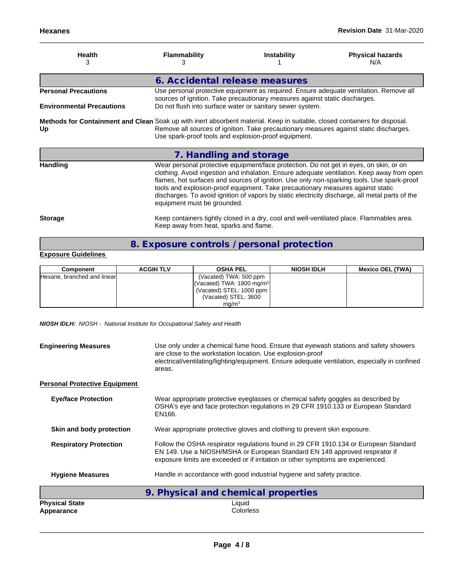| <b>Health</b><br>З                                                                                                               | <b>Flammability</b><br>з               | <b>Instability</b>                                                                                                                                                        | <b>Physical hazards</b><br>N/A                                                                                                                                                                                                                                                              |
|----------------------------------------------------------------------------------------------------------------------------------|----------------------------------------|---------------------------------------------------------------------------------------------------------------------------------------------------------------------------|---------------------------------------------------------------------------------------------------------------------------------------------------------------------------------------------------------------------------------------------------------------------------------------------|
|                                                                                                                                  | 6. Accidental release measures         |                                                                                                                                                                           |                                                                                                                                                                                                                                                                                             |
| <b>Personal Precautions</b>                                                                                                      |                                        | sources of ignition. Take precautionary measures against static discharges.                                                                                               | Use personal protective equipment as required. Ensure adequate ventilation. Remove all                                                                                                                                                                                                      |
| <b>Environmental Precautions</b>                                                                                                 |                                        | Do not flush into surface water or sanitary sewer system.                                                                                                                 |                                                                                                                                                                                                                                                                                             |
| Methods for Containment and Clean Soak up with inert absorbent material. Keep in suitable, closed containers for disposal.<br>Up |                                        | Remove all sources of ignition. Take precautionary measures against static discharges.<br>Use spark-proof tools and explosion-proof equipment.                            |                                                                                                                                                                                                                                                                                             |
|                                                                                                                                  | 7. Handling and storage                |                                                                                                                                                                           |                                                                                                                                                                                                                                                                                             |
| <b>Handling</b>                                                                                                                  | equipment must be grounded.            | Wear personal protective equipment/face protection. Do not get in eyes, on skin, or on<br>tools and explosion-proof equipment. Take precautionary measures against static | clothing. Avoid ingestion and inhalation. Ensure adequate ventilation. Keep away from open<br>flames, hot surfaces and sources of ignition. Use only non-sparking tools. Use spark-proof<br>discharges. To avoid ignition of vapors by static electricity discharge, all metal parts of the |
| <b>Storage</b>                                                                                                                   | Keep away from heat, sparks and flame. |                                                                                                                                                                           | Keep containers tightly closed in a dry, cool and well-ventilated place. Flammables area.                                                                                                                                                                                                   |

**8. Exposure controls / personal protection**

## **Exposure Guidelines**

| Component                   | <b>ACGIH TLV</b> | <b>OSHA PEL</b>                                      | <b>NIOSH IDLH</b> | <b>Mexico OEL (TWA)</b> |
|-----------------------------|------------------|------------------------------------------------------|-------------------|-------------------------|
| Hexane, branched and linear |                  | (Vacated) TWA: 500 ppm                               |                   |                         |
|                             |                  | $\sqrt{\text{Vacated}}}$ TWA: 1800 mg/m <sup>3</sup> |                   |                         |
|                             |                  | (Vacated) STEL: 1000 ppm                             |                   |                         |
|                             |                  | (Vacated) STEL: 3600                                 |                   |                         |
|                             |                  | mg/m <sup>3</sup>                                    |                   |                         |

*NIOSH IDLH: NIOSH - National Institute for Occupational Safety and Health*

| <b>Engineering Measures</b>          | Use only under a chemical fume hood. Ensure that eyewash stations and safety showers<br>are close to the workstation location. Use explosion-proof<br>electrical/ventilating/lighting/equipment. Ensure adequate ventilation, especially in confined<br>areas. |
|--------------------------------------|----------------------------------------------------------------------------------------------------------------------------------------------------------------------------------------------------------------------------------------------------------------|
| <b>Personal Protective Equipment</b> |                                                                                                                                                                                                                                                                |
| <b>Eye/face Protection</b>           | Wear appropriate protective eyeglasses or chemical safety goggles as described by<br>OSHA's eye and face protection regulations in 29 CFR 1910.133 or European Standard<br>EN166.                                                                              |
| Skin and body protection             | Wear appropriate protective gloves and clothing to prevent skin exposure.                                                                                                                                                                                      |
| <b>Respiratory Protection</b>        | Follow the OSHA respirator regulations found in 29 CFR 1910.134 or European Standard<br>EN 149. Use a NIOSH/MSHA or European Standard EN 149 approved respirator if<br>exposure limits are exceeded or if irritation or other symptoms are experienced.        |
| <b>Hygiene Measures</b>              | Handle in accordance with good industrial hygiene and safety practice.                                                                                                                                                                                         |
|                                      | 9. Physical and chemical properties                                                                                                                                                                                                                            |
| <b>Physical State</b><br>Appearance  | Liquid<br>Colorless                                                                                                                                                                                                                                            |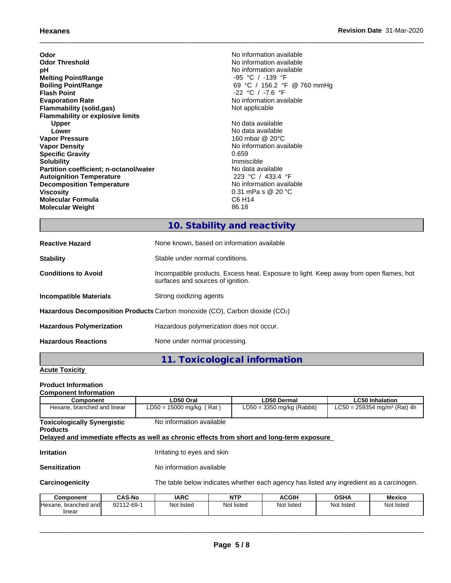| Odor                                    | No information available    |
|-----------------------------------------|-----------------------------|
| <b>Odor Threshold</b>                   | No information available    |
| рH                                      | No information available    |
| <b>Melting Point/Range</b>              | -95 °C / -139 °F            |
| <b>Boiling Point/Range</b>              | 69 °C / 156.2 °F @ 760 mmHg |
| <b>Flash Point</b>                      | $-22$ °C / $-7.6$ °F        |
| <b>Evaporation Rate</b>                 | No information available    |
| Flammability (solid,gas)                | Not applicable              |
| <b>Flammability or explosive limits</b> |                             |
| <b>Upper</b>                            | No data available           |
| Lower                                   | No data available           |
| <b>Vapor Pressure</b>                   | 160 mbar @ 20°C             |
| <b>Vapor Density</b>                    | No information available    |
| <b>Specific Gravity</b>                 | 0.659                       |
| <b>Solubility</b>                       | Immiscible                  |
| Partition coefficient; n-octanol/water  | No data available           |
| <b>Autoignition Temperature</b>         | 223 °C / 433.4 °F           |
| <b>Decomposition Temperature</b>        | No information available    |
| <b>Viscosity</b>                        | 0.31 mPa s @ 20 °C          |
| <b>Molecular Formula</b>                | C6 H14                      |
| <b>Molecular Weight</b>                 | 86.18                       |
|                                         |                             |

# **10. Stability and reactivity**

| <b>Reactive Hazard</b>                                                      | None known, based on information available                                                                                  |  |
|-----------------------------------------------------------------------------|-----------------------------------------------------------------------------------------------------------------------------|--|
| <b>Stability</b>                                                            | Stable under normal conditions.                                                                                             |  |
| <b>Conditions to Avoid</b>                                                  | Incompatible products. Excess heat. Exposure to light. Keep away from open flames, hot<br>surfaces and sources of ignition. |  |
| Incompatible Materials                                                      | Strong oxidizing agents                                                                                                     |  |
| Hazardous Decomposition Products Carbon monoxide (CO), Carbon dioxide (CO2) |                                                                                                                             |  |
| <b>Hazardous Polymerization</b>                                             | Hazardous polymerization does not occur.                                                                                    |  |
| <b>Hazardous Reactions</b>                                                  | None under normal processing.                                                                                               |  |

# **11. Toxicological information**

## **Acute Toxicity**

## **Product Information**

| <b>Component Information</b>                          |                                                                                            |                                                                                          |                                          |  |  |
|-------------------------------------------------------|--------------------------------------------------------------------------------------------|------------------------------------------------------------------------------------------|------------------------------------------|--|--|
| Component                                             | LD50 Oral                                                                                  | LD50 Dermal                                                                              | <b>LC50 Inhalation</b>                   |  |  |
| Hexane, branched and linear                           | $LD50 = 15000$ mg/kg (Rat)                                                                 | $LD50 = 3350$ mg/kg (Rabbit)                                                             | LC50 = 259354 mg/m <sup>3</sup> (Rat) 4h |  |  |
| <b>Toxicologically Synergistic</b><br><b>Products</b> | No information available                                                                   |                                                                                          |                                          |  |  |
|                                                       | Delayed and immediate effects as well as chronic effects from short and long-term exposure |                                                                                          |                                          |  |  |
| <b>Irritation</b>                                     | Irritating to eyes and skin                                                                |                                                                                          |                                          |  |  |
| <b>Sensitization</b>                                  | No information available                                                                   |                                                                                          |                                          |  |  |
| Carcinogenicity                                       |                                                                                            | The table below indicates whether each agency has listed any ingredient as a carcinogen. |                                          |  |  |

| <b>Component</b>           | <b>CAS-No</b> | <b>IARC</b> | NTP        | <b>ACGIH</b> | <b>OSHA</b> | <b>Mexico</b> |
|----------------------------|---------------|-------------|------------|--------------|-------------|---------------|
| Hexane.<br>. branched andI | 92112-69-1    | Not listed  | Not listed | Not listed   | Not listed  | Not listed    |
| linear                     |               |             |            |              |             |               |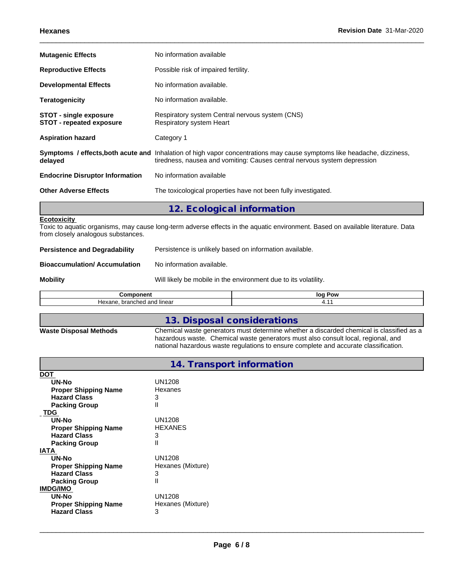| <b>Mutagenic Effects</b>                                         | No information available                                                                                                                                                                                   |
|------------------------------------------------------------------|------------------------------------------------------------------------------------------------------------------------------------------------------------------------------------------------------------|
| <b>Reproductive Effects</b>                                      | Possible risk of impaired fertility.                                                                                                                                                                       |
| <b>Developmental Effects</b>                                     | No information available.                                                                                                                                                                                  |
| <b>Teratogenicity</b>                                            | No information available.                                                                                                                                                                                  |
| <b>STOT - single exposure</b><br><b>STOT - repeated exposure</b> | Respiratory system Central nervous system (CNS)<br>Respiratory system Heart                                                                                                                                |
| <b>Aspiration hazard</b>                                         | Category 1                                                                                                                                                                                                 |
| delayed                                                          | <b>Symptoms / effects, both acute and</b> Inhalation of high vapor concentrations may cause symptoms like headache, dizziness,<br>tiredness, nausea and vomiting: Causes central nervous system depression |
| <b>Endocrine Disruptor Information</b>                           | No information available                                                                                                                                                                                   |
| <b>Other Adverse Effects</b>                                     | The toxicological properties have not been fully investigated.                                                                                                                                             |
|                                                                  | 12. Ecological information                                                                                                                                                                                 |
| <b>Ecotoxicity</b>                                               |                                                                                                                                                                                                            |

Toxic to aquatic organisms, may cause long-term adverse effects in the aquatic environment. Based on available literature. Data from closely analogous substances.

| <b>Persistence and Degradability</b> | Persistence is unlikely based on information available. |
|--------------------------------------|---------------------------------------------------------|
|                                      |                                                         |

**Mobility** Mobility **Mobility** Will likely be mobile in the environment due to its volatility.

| <b><i><u>Property</u></i></b> <i><b>Property</b></i> <b><i>Property</i></b> | loc |
|-----------------------------------------------------------------------------|-----|
| ---                                                                         | Pow |
| pranched<br>1.000<br>ane:<br>---<br><b>Hey</b><br>ı iirieal<br>ano          | .   |

|                               | 13. Disposal considerations                                                                                                                                                                                                                                           |
|-------------------------------|-----------------------------------------------------------------------------------------------------------------------------------------------------------------------------------------------------------------------------------------------------------------------|
| <b>Waste Disposal Methods</b> | Chemical waste generators must determine whether a discarded chemical is classified as a<br>hazardous waste. Chemical waste generators must also consult local, regional, and<br>national hazardous waste regulations to ensure complete and accurate classification. |

|                             | 14. Transport information |
|-----------------------------|---------------------------|
| <u>DOT</u>                  |                           |
| <b>UN-No</b>                | <b>UN1208</b>             |
| <b>Proper Shipping Name</b> | Hexanes                   |
| <b>Hazard Class</b>         | 3                         |
| <b>Packing Group</b>        | II                        |
| <b>TDG</b>                  |                           |
| <b>UN-No</b>                | <b>UN1208</b>             |
| <b>Proper Shipping Name</b> | <b>HEXANES</b>            |
| <b>Hazard Class</b>         | 3                         |
| <b>Packing Group</b>        | П                         |
| <b>IATA</b>                 |                           |
| <b>UN-No</b>                | <b>UN1208</b>             |
| <b>Proper Shipping Name</b> | Hexanes (Mixture)         |
| <b>Hazard Class</b>         | 3                         |
| <b>Packing Group</b>        | П                         |
| <b>IMDG/IMO</b>             |                           |
| <b>UN-No</b>                | <b>UN1208</b>             |
| <b>Proper Shipping Name</b> | Hexanes (Mixture)         |
| <b>Hazard Class</b>         | 3                         |
|                             |                           |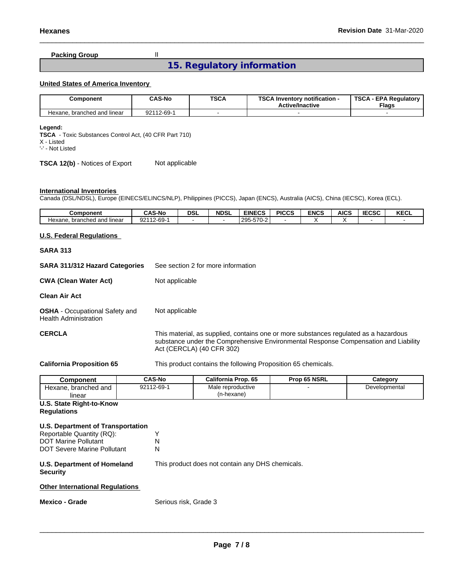## **Packing Group** II

## **15. Regulatory information**

## **United States of America Inventory**

| Component                        | <b>CAS-No</b> | <b>TSCA</b> | TCC A L<br>√ Inventory notification -<br>SUA<br><b>Active/Inactive</b> | TSCA<br><b>EPA Regulatory</b><br><b>Flags</b> |
|----------------------------------|---------------|-------------|------------------------------------------------------------------------|-----------------------------------------------|
| . branched and linear<br>Hexane. | 92112-69-     |             |                                                                        |                                               |

#### **Legend:**

**TSCA** - Toxic Substances Control Act, (40 CFR Part 710) X - Listed '-' - Not Listed

#### **TSCA 12(b)** - Notices of Export Not applicable

## **International Inventories**

Canada (DSL/NDSL), Europe (EINECS/ELINCS/NLP), Philippines (PICCS), Japan (ENCS), Australia (AICS), China (IECSC), Korea (ECL).

| Component                        | <b>CAS-No</b>   | <b>DSL</b> | <b>NDSL</b> | <b>EINECS</b>                      | <b>PICCS</b> | <b>ENCS</b> | <b>AICS</b> | <b>IECSC</b> | <b>KECL</b> |
|----------------------------------|-----------------|------------|-------------|------------------------------------|--------------|-------------|-------------|--------------|-------------|
| . branched and linear<br>Hexane. | 112-69-1<br>921 |            |             | $-700$<br>$'295 - 6$<br>1200-010-2 |              |             |             |              |             |

### **U.S. Federal Regulations**

## **SARA 313**

**SARA 311/312 Hazard Categories** See section 2 for more information **CWA** (Clean Water Act) Not applicable **Clean Air Act OSHA** - Occupational Safety and Health Administration Not applicable **CERCLA** This material, as supplied, contains one or more substances regulated as a hazardous substance under the Comprehensive Environmental Response Compensation and Liability Act (CERCLA) (40 CFR 302)

**California Proposition 65** This product contains the following Proposition 65 chemicals.

| Component               | <b>CAS-No</b> | California Prop. 65 | <b>Prop 65 NSRL</b> | Category      |
|-------------------------|---------------|---------------------|---------------------|---------------|
| branched and<br>Hexane. | 92112-69-1    | Male reproductive   |                     | Developmental |
| linear                  |               | (n-hexane)          |                     |               |

## **U.S. State Right-to-Know**

## **Regulations**

### **U.S. Department of Transportation**

| Reportable Quantity (RQ):          |   |
|------------------------------------|---|
| <b>DOT Marine Pollutant</b>        | N |
| <b>DOT Severe Marine Pollutant</b> | N |

#### **U.S. Department of Homeland Security**

This product does not contain any DHS chemicals.

## **Other International Regulations**

**Mexico - Grade** Serious risk, Grade 3